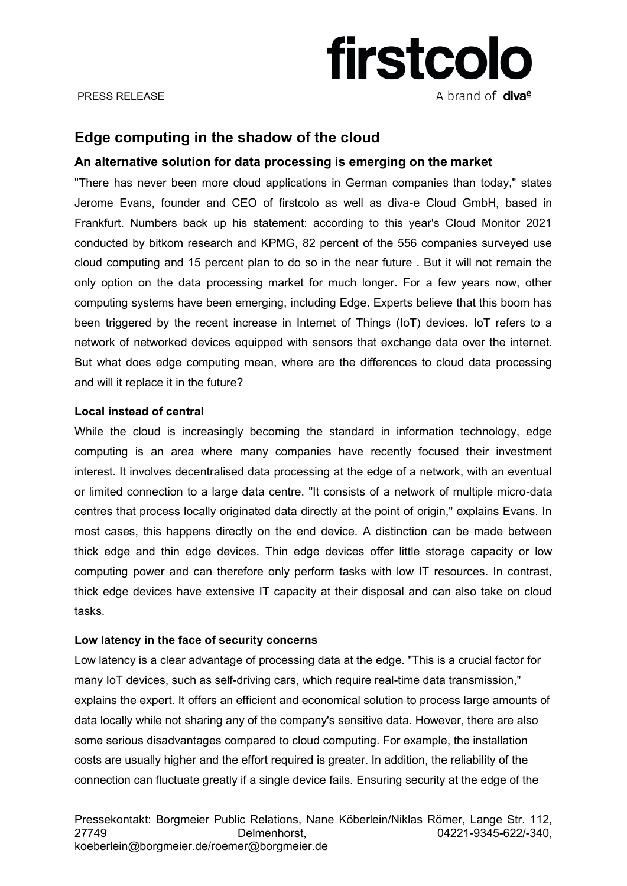# firstcolo A brand of **diva<sup>e</sup>**

#### PRESS RELEASE

# **Edge computing in the shadow of the cloud**

## **An alternative solution for data processing is emerging on the market**

"There has never been more cloud applications in German companies than today," states Jerome Evans, founder and CEO of firstcolo as well as diva-e Cloud GmbH, based in Frankfurt. Numbers back up his statement: according to this year's Cloud Monitor 2021 conducted by bitkom research and KPMG, 82 percent of the 556 companies surveyed use cloud computing and 15 percent plan to do so in the near future . But it will not remain the only option on the data processing market for much longer. For a few years now, other computing systems have been emerging, including Edge. Experts believe that this boom has been triggered by the recent increase in Internet of Things (IoT) devices. IoT refers to a network of networked devices equipped with sensors that exchange data over the internet. But what does edge computing mean, where are the differences to cloud data processing and will it replace it in the future?

### **Local instead of central**

While the cloud is increasingly becoming the standard in information technology, edge computing is an area where many companies have recently focused their investment interest. It involves decentralised data processing at the edge of a network, with an eventual or limited connection to a large data centre. "It consists of a network of multiple micro-data centres that process locally originated data directly at the point of origin," explains Evans. In most cases, this happens directly on the end device. A distinction can be made between thick edge and thin edge devices. Thin edge devices offer little storage capacity or low computing power and can therefore only perform tasks with low IT resources. In contrast, thick edge devices have extensive IT capacity at their disposal and can also take on cloud tasks.

### **Low latency in the face of security concerns**

Low latency is a clear advantage of processing data at the edge. "This is a crucial factor for many IoT devices, such as self-driving cars, which require real-time data transmission," explains the expert. It offers an efficient and economical solution to process large amounts of data locally while not sharing any of the company's sensitive data. However, there are also some serious disadvantages compared to cloud computing. For example, the installation costs are usually higher and the effort required is greater. In addition, the reliability of the connection can fluctuate greatly if a single device fails. Ensuring security at the edge of the